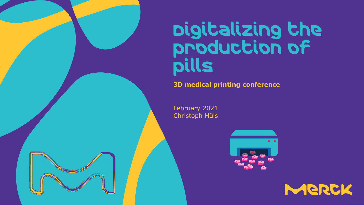

# Digitalizing the production of pills

**3D medical printing conference** 

February 2021 Christoph Hüls



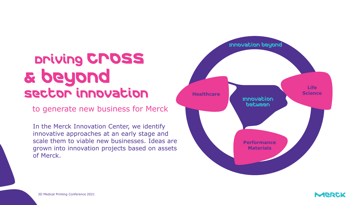## Driving cross & beyond sector innovation

to generate new business for Merck

In the Merck Innovation Center, we identify innovative approaches at an early stage and scale them to viable new businesses. Ideas are grown into innovation projects based on assets of Merck.





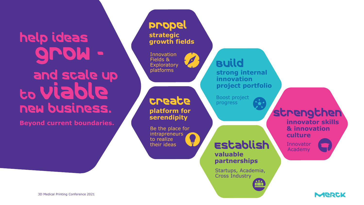help ideas grow and scale up to viable new business.

**Beyond current boundaries.**

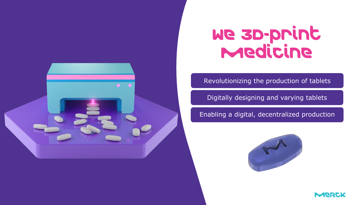# We 3D-print **Medicine**

#### Revolutionizing the production of tablets

Digitally designing and varying tablets

Enabling a digital, decentralized production





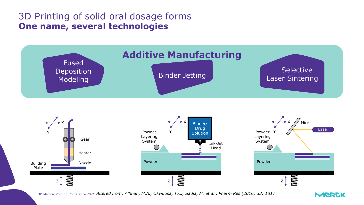### 3D Printing of solid oral dosage forms **One name, several technologies**

![](_page_4_Figure_1.jpeg)

![](_page_4_Figure_2.jpeg)

*Altered from: Alhnan, M.A., Okwuosa, T.C., Sadia, M. et al., Pharm Res (2016) 33: 1817* 3D Medical Printing Conference 2021

![](_page_4_Picture_4.jpeg)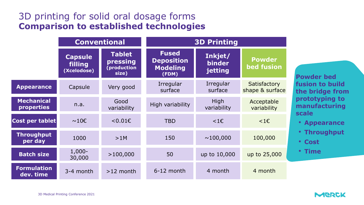### 3D printing for solid oral dosage forms **Comparison to established technologies**

|                                        | <b>Conventional</b>                      |                                                   | <b>3D Printing</b>                                            |                              |                                    |
|----------------------------------------|------------------------------------------|---------------------------------------------------|---------------------------------------------------------------|------------------------------|------------------------------------|
|                                        | <b>Capsule</b><br>filling<br>(Xcelodose) | <b>Tablet</b><br>pressing<br>(production<br>size) | <b>Fused</b><br><b>Deposition</b><br><b>Modeling</b><br>(FDM) | Inkjet/<br>binder<br>jetting | <b>Powder</b><br><b>bed fusion</b> |
| <b>Appearance</b>                      | Capsule                                  | Very good                                         | Irregular<br>surface                                          | Irregular<br>surface         | Satisfactory<br>shape & surface    |
| <b>Mechanical</b><br><b>properties</b> | n.a.                                     | Good<br>variability                               | High variability                                              | High<br>variability          | Acceptable<br>variability          |
| Cost per tablet                        | $\sim$ 10€                               | < 0.01€                                           | <b>TBD</b>                                                    | $1\varepsilon$               | $<$ 1€                             |
| <b>Throughput</b><br>per day           | 1000                                     | >1M                                               | 150                                                           | $\sim$ 100,000               | 100,000                            |
| <b>Batch size</b>                      | $1,000 -$<br>30,000                      | >100,000                                          | 50                                                            | up to 10,000                 | up to 25,000                       |
| Formulation<br>dev. time               | 3-4 month                                | $>12$ month                                       | 6-12 month                                                    | 4 month                      | 4 month                            |

**Powder bed fusion** to build **the bridge from prototyping to manufacturing scale**

- **Appearance**
- **Throughput**
- **Cost**
- **Time**

![](_page_5_Picture_8.jpeg)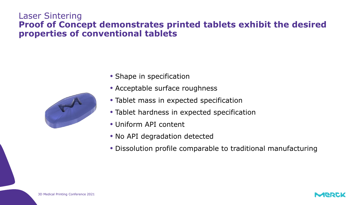### Laser Sintering **Proof of Concept demonstrates printed tablets exhibit the desired properties of conventional tablets**

![](_page_6_Picture_1.jpeg)

- Shape in specification
- Acceptable surface roughness
- Tablet mass in expected specification
- Tablet hardness in expected specification
- Uniform API content
- No API degradation detected
- Dissolution profile comparable to traditional manufacturing

![](_page_6_Picture_10.jpeg)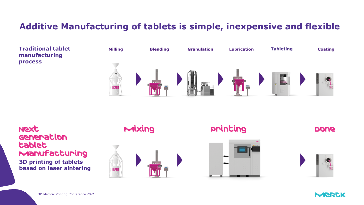### **Additive Manufacturing of tablets is simple, inexpensive and flexible**

**Traditional tablet Milling Blending Lubrication Tableting Granulation Coating manufacturing process** E.

**Next** Generation tablet Manufacturing **3D printing of tablets based on laser sintering**

![](_page_7_Figure_3.jpeg)

printing

**DONG** 

![](_page_7_Picture_6.jpeg)

![](_page_7_Picture_9.jpeg)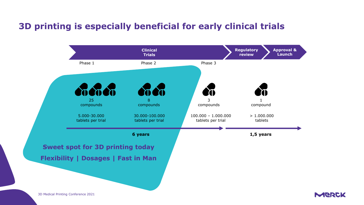### **3D printing is especially beneficial for early clinical trials**

![](_page_8_Figure_1.jpeg)

3D Medical Printing Conference 2021

![](_page_8_Picture_3.jpeg)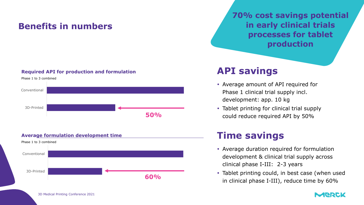### **Benefits in numbers**

#### **Required API for production and formulation**

![](_page_9_Figure_2.jpeg)

![](_page_9_Figure_3.jpeg)

### **70% cost savings potential in early clinical trials processes for tablet production**

### **API savings**

- Average amount of API required for Phase 1 clinical trial supply incl. development: app. 10 kg
- Tablet printing for clinical trial supply could reduce required API by 50%

### **Time savings**

- Average duration required for formulation development & clinical trial supply across clinical phase I-III: 2-3 years
- Tablet printing could, in best case (when used in clinical phase I-III), reduce time by 60%

![](_page_9_Picture_12.jpeg)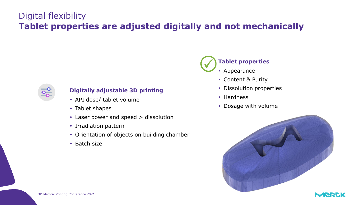### Digital flexibility **Tablet properties are adjusted digitally and not mechanically**

![](_page_10_Picture_1.jpeg)

#### **Digitally adjustable 3D printing**

- API dose/ tablet volume
- Tablet shapes
- Laser power and speed > dissolution
- Irradiation pattern
- Orientation of objects on building chamber
- $\cdot$  Batch size

![](_page_10_Picture_9.jpeg)

- Content & Purity
- Dissolution properties
- Hardness
- Dosage with volume

![](_page_10_Picture_14.jpeg)

![](_page_10_Picture_15.jpeg)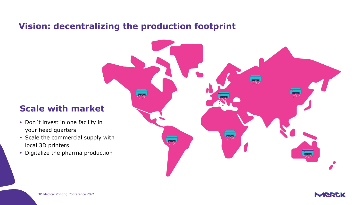### **Vision: decentralizing the production footprint**

### **Scale with market**

- Don't invest in one facility in your head quarters
- Scale the commercial supply with local 3D printers
- Digitalize the pharma production

![](_page_11_Figure_5.jpeg)

![](_page_11_Picture_6.jpeg)

![](_page_11_Picture_7.jpeg)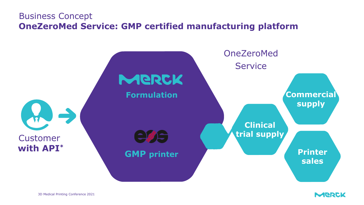### **OneZeroMed Service: GMP certified manufacturing platform**  Business Concept

![](_page_12_Figure_1.jpeg)

![](_page_12_Picture_2.jpeg)